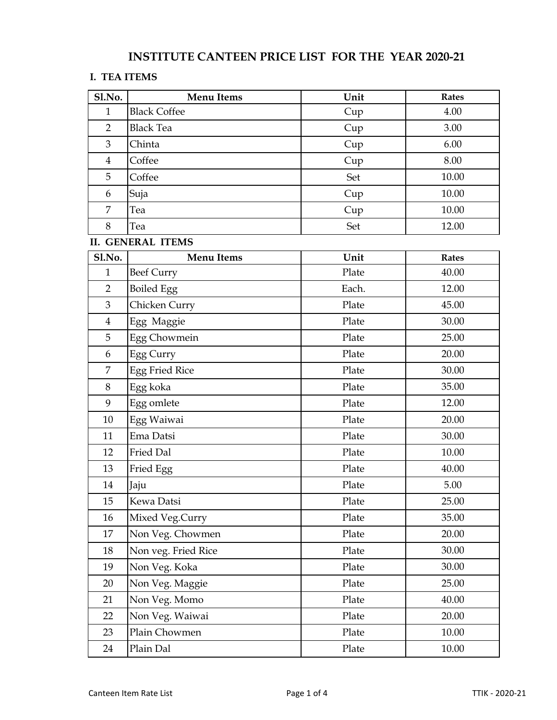## **INSTITUTE CANTEEN PRICE LIST FOR THE YEAR 2020-21**

## **I. TEA ITEMS**

| Sl.No.           | <b>Menu Items</b>        | Unit  | <b>Rates</b> |
|------------------|--------------------------|-------|--------------|
| $\mathbf{1}$     | <b>Black Coffee</b>      | Cup   | 4.00         |
| $\overline{2}$   | <b>Black Tea</b>         | Cup   | 3.00         |
| 3                | Chinta                   | Cup   | 6.00         |
| $\overline{4}$   | Coffee                   | Cup   | 8.00         |
| 5                | Coffee                   | Set   | 10.00        |
| 6                | Suja                     | Cup   | 10.00        |
| 7                | Tea                      | Cup   | 10.00        |
| 8                | Tea                      | Set   | 12.00        |
|                  | <b>II. GENERAL ITEMS</b> |       |              |
| Sl.No.           | <b>Menu Items</b>        | Unit  | <b>Rates</b> |
| $\mathbf{1}$     | <b>Beef Curry</b>        | Plate | 40.00        |
| $\overline{2}$   | <b>Boiled Egg</b>        | Each. | 12.00        |
| $\mathfrak{Z}$   | Chicken Curry            | Plate | 45.00        |
| $\overline{4}$   | Egg Maggie               | Plate | 30.00        |
| 5                | Egg Chowmein             | Plate | 25.00        |
| $\boldsymbol{6}$ | Egg Curry                | Plate | 20.00        |
| $\overline{7}$   | <b>Egg Fried Rice</b>    | Plate | 30.00        |
| $8\,$            | Egg koka                 | Plate | 35.00        |
| $\mathbf{9}$     | Egg omlete               | Plate | 12.00        |
| $10\,$           | Egg Waiwai               | Plate | 20.00        |
| 11               | Ema Datsi                | Plate | 30.00        |
| 12               | Fried Dal                | Plate | 10.00        |
| 13               | Fried Egg                | Plate | 40.00        |
| 14               | Jaju                     | Plate | 5.00         |
| 15               | Kewa Datsi               | Plate | 25.00        |
| 16               | Mixed Veg.Curry          | Plate | 35.00        |
| $17\,$           | Non Veg. Chowmen         | Plate | 20.00        |
| $18\,$           | Non veg. Fried Rice      | Plate | 30.00        |
| 19               | Non Veg. Koka            | Plate | 30.00        |
| 20               | Non Veg. Maggie          | Plate | 25.00        |
| 21               | Non Veg. Momo            | Plate | 40.00        |
| 22               | Non Veg. Waiwai          | Plate | 20.00        |
| 23               | Plain Chowmen            | Plate | 10.00        |
| 24               | Plain Dal                | Plate | 10.00        |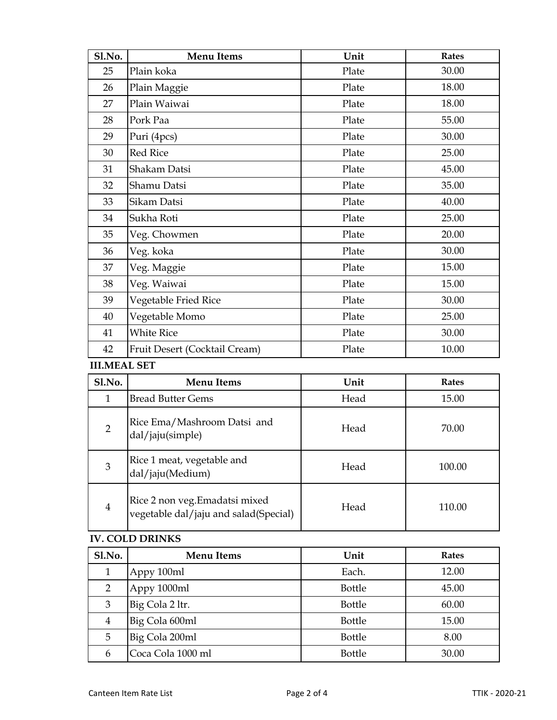| Sl.No. | <b>Menu Items</b>             | Unit  | <b>Rates</b> |
|--------|-------------------------------|-------|--------------|
| 25     | Plain koka                    | Plate | 30.00        |
| 26     | Plain Maggie                  | Plate | 18.00        |
| 27     | Plain Waiwai                  | Plate | 18.00        |
| 28     | Pork Paa                      | Plate | 55.00        |
| 29     | Puri (4pcs)                   | Plate | 30.00        |
| 30     | <b>Red Rice</b>               | Plate | 25.00        |
| 31     | Shakam Datsi                  | Plate | 45.00        |
| 32     | Shamu Datsi                   | Plate | 35.00        |
| 33     | Sikam Datsi                   | Plate | 40.00        |
| 34     | Sukha Roti                    | Plate | 25.00        |
| 35     | Veg. Chowmen                  | Plate | 20.00        |
| 36     | Veg. koka                     | Plate | 30.00        |
| 37     | Veg. Maggie                   | Plate | 15.00        |
| 38     | Veg. Waiwai                   | Plate | 15.00        |
| 39     | Vegetable Fried Rice          | Plate | 30.00        |
| 40     | Vegetable Momo                | Plate | 25.00        |
| 41     | <b>White Rice</b>             | Plate | 30.00        |
| 42     | Fruit Desert (Cocktail Cream) | Plate | 10.00        |

## **III.MEAL SET**

| <b>Sl.No.</b>  | <b>Menu Items</b>                                                       | Unit | Rates  |
|----------------|-------------------------------------------------------------------------|------|--------|
| 1              | <b>Bread Butter Gems</b>                                                | Head | 15.00  |
| $\overline{2}$ | Rice Ema/Mashroom Datsi and<br>dal/jaju(simple)                         | Head | 70.00  |
| 3              | Rice 1 meat, vegetable and<br>dal/jaju(Medium)                          | Head | 100.00 |
| $\overline{4}$ | Rice 2 non veg. Emadatsi mixed<br>vegetable dal/jaju and salad(Special) | Head | 110.00 |

## **IV. COLD DRINKS**

| Sl.No.         | <b>Menu Items</b> | Unit          | <b>Rates</b> |
|----------------|-------------------|---------------|--------------|
| 1              | Appy 100ml        | Each.         | 12.00        |
| $\overline{2}$ | Appy 1000ml       | <b>Bottle</b> | 45.00        |
| 3              | Big Cola 2 ltr.   | Bottle        | 60.00        |
| 4              | Big Cola 600ml    | <b>Bottle</b> | 15.00        |
| 5              | Big Cola 200ml    | <b>Bottle</b> | 8.00         |
| 6              | Coca Cola 1000 ml | Bottle        | 30.00        |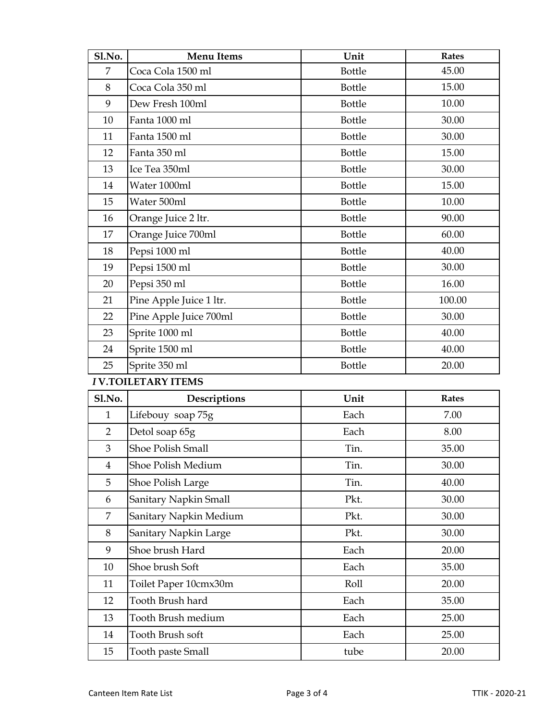| Sl.No.                    | <b>Menu Items</b>       | Unit          | <b>Rates</b> |  |
|---------------------------|-------------------------|---------------|--------------|--|
| 7                         | Coca Cola 1500 ml       | Bottle        | 45.00        |  |
| 8                         | Coca Cola 350 ml        | Bottle        | 15.00        |  |
| 9                         | Dew Fresh 100ml         | Bottle        | 10.00        |  |
| 10                        | Fanta 1000 ml           | Bottle        | 30.00        |  |
| 11                        | Fanta 1500 ml           | Bottle        | 30.00        |  |
| 12                        | Fanta 350 ml            | Bottle        | 15.00        |  |
| 13                        | Ice Tea 350ml           | Bottle        | 30.00        |  |
| 14                        | Water 1000ml            | Bottle        | 15.00        |  |
| 15                        | Water 500ml             | <b>Bottle</b> | 10.00        |  |
| 16                        | Orange Juice 2 ltr.     | Bottle        | 90.00        |  |
| 17                        | Orange Juice 700ml      | <b>Bottle</b> | 60.00        |  |
| 18                        | Pepsi 1000 ml           | Bottle        | 40.00        |  |
| 19                        | Pepsi 1500 ml           | <b>Bottle</b> | 30.00        |  |
| 20                        | Pepsi 350 ml            | <b>Bottle</b> | 16.00        |  |
| 21                        | Pine Apple Juice 1 ltr. | <b>Bottle</b> | 100.00       |  |
| 22                        | Pine Apple Juice 700ml  | <b>Bottle</b> | 30.00        |  |
| 23                        | Sprite 1000 ml          | <b>Bottle</b> | 40.00        |  |
| 24                        | Sprite 1500 ml          | Bottle        | 40.00        |  |
| 25                        | Sprite 350 ml           | Bottle        | 20.00        |  |
| <b>IV.TOILETARY ITEMS</b> |                         |               |              |  |
| Sl.No.                    | Descriptions            | Unit          | <b>Rates</b> |  |
| $\mathbf{1}$              | Lifebouy soap 75g       | Each          | 7.00         |  |
| $\overline{2}$            | Detol soap 65g          | Each          | 8.00         |  |
| 3                         | Shoe Polish Small       | Tin.          | 35.00        |  |
| $\overline{4}$            | Shoe Polish Medium      | Tin.          | 30.00        |  |
| 5                         | Shoe Polish Large       | Tin.          | 40.00        |  |
| 6                         | Sanitary Napkin Small   | Pkt.          | 30.00        |  |
| $\overline{7}$            | Sanitary Napkin Medium  | Pkt.          | 30.00        |  |
| 8                         | Sanitary Napkin Large   | Pkt.          | 30.00        |  |
| 9                         | Shoe brush Hard         | Each          | 20.00        |  |

| 9  | Shoe brush Hard       | Each | 20.00 |
|----|-----------------------|------|-------|
| 10 | Shoe brush Soft       | Each | 35.00 |
| 11 | Toilet Paper 10cmx30m | Roll | 20.00 |
| 12 | Tooth Brush hard      | Each | 35.00 |
| 13 | Tooth Brush medium    | Each | 25.00 |
| 14 | Tooth Brush soft      | Each | 25.00 |
| 15 | Tooth paste Small     | tube | 20.00 |